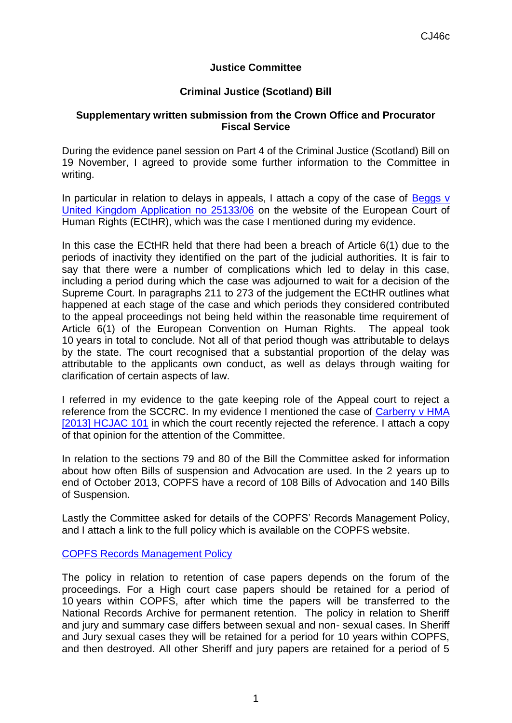## **Justice Committee**

## **Criminal Justice (Scotland) Bill**

## **Supplementary written submission from the Crown Office and Procurator Fiscal Service**

During the evidence panel session on Part 4 of the Criminal Justice (Scotland) Bill on 19 November, I agreed to provide some further information to the Committee in writing.

In particular in relation to delays in appeals, I attach a copy of the case of Beggs v [United Kingdom Application no 25133/06](http://hudoc.echr.coe.int/sites/eng/pages/search.aspx?i=001-114250#{"itemid":["001-114250"]}) on the website of the European Court of Human Rights (ECtHR), which was the case I mentioned during my evidence.

In this case the ECtHR held that there had been a breach of Article 6(1) due to the periods of inactivity they identified on the part of the judicial authorities. It is fair to say that there were a number of complications which led to delay in this case, including a period during which the case was adjourned to wait for a decision of the Supreme Court. In paragraphs 211 to 273 of the judgement the ECtHR outlines what happened at each stage of the case and which periods they considered contributed to the appeal proceedings not being held within the reasonable time requirement of Article 6(1) of the European Convention on Human Rights. The appeal took 10 years in total to conclude. Not all of that period though was attributable to delays by the state. The court recognised that a substantial proportion of the delay was attributable to the applicants own conduct, as well as delays through waiting for clarification of certain aspects of law.

I referred in my evidence to the gate keeping role of the Appeal court to reject a reference from the SCCRC. In my evidence I mentioned the case of [Carberry v HMA](http://www.scotcourts.gov.uk/opinions/2013HCJAC101.html)  [\[2013\] HCJAC 101](http://www.scotcourts.gov.uk/opinions/2013HCJAC101.html) in which the court recently rejected the reference. I attach a copy of that opinion for the attention of the Committee.

In relation to the sections 79 and 80 of the Bill the Committee asked for information about how often Bills of suspension and Advocation are used. In the 2 years up to end of October 2013, COPFS have a record of 108 Bills of Advocation and 140 Bills of Suspension.

Lastly the Committee asked for details of the COPFS' Records Management Policy, and I attach a link to the full policy which is available on the COPFS website.

[COPFS Records Management Policy](http://www.copfs.gov.uk/images/Documents/Freedom_of_Information/Records%20Management%20Policy.pdf)

The policy in relation to retention of case papers depends on the forum of the proceedings. For a High court case papers should be retained for a period of 10 years within COPFS, after which time the papers will be transferred to the National Records Archive for permanent retention. The policy in relation to Sheriff and jury and summary case differs between sexual and non- sexual cases. In Sheriff and Jury sexual cases they will be retained for a period for 10 years within COPFS, and then destroyed. All other Sheriff and jury papers are retained for a period of 5